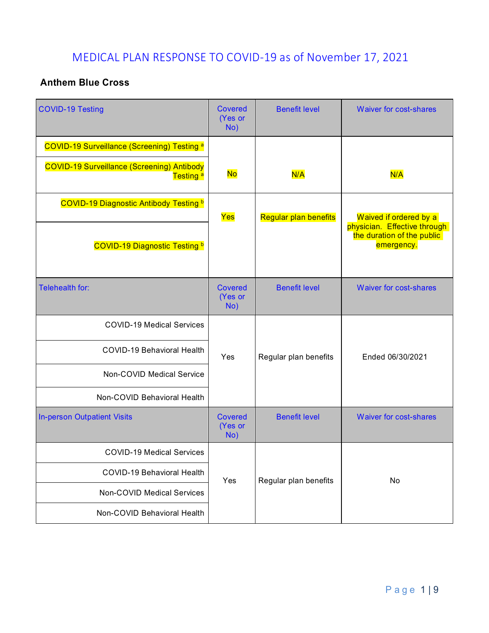# MEDICAL PLAN RESPONSE TO COVID-19 as of November 17, 2021

#### **Anthem Blue Cross**

| <b>COVID-19 Testing</b>                                                   | <b>Covered</b><br>(Yes or<br>No) | <b>Benefit level</b>         | <b>Waiver for cost-shares</b>                                            |
|---------------------------------------------------------------------------|----------------------------------|------------------------------|--------------------------------------------------------------------------|
| <b>COVID-19 Surveillance (Screening) Testing a</b>                        |                                  |                              |                                                                          |
| <b>COVID-19 Surveillance (Screening) Antibody</b><br>Testing <sup>a</sup> | <b>No</b>                        | N/A                          | N/A                                                                      |
| <b>COVID-19 Diagnostic Antibody Testing b</b>                             | Yes                              | <b>Regular plan benefits</b> | Waived if ordered by a                                                   |
| <b>COVID-19 Diagnostic Testing b</b>                                      |                                  |                              | physician. Effective through<br>the duration of the public<br>emergency. |
| Telehealth for:                                                           | <b>Covered</b><br>(Yes or<br>No) | <b>Benefit level</b>         | <b>Waiver for cost-shares</b>                                            |
| <b>COVID-19 Medical Services</b>                                          |                                  |                              |                                                                          |
| <b>COVID-19 Behavioral Health</b>                                         | Yes                              | Regular plan benefits        | Ended 06/30/2021                                                         |
| Non-COVID Medical Service                                                 |                                  |                              |                                                                          |
| Non-COVID Behavioral Health                                               |                                  |                              |                                                                          |
| <b>In-person Outpatient Visits</b>                                        | <b>Covered</b><br>(Yes or<br>No) | <b>Benefit level</b>         | <b>Waiver for cost-shares</b>                                            |
| <b>COVID-19 Medical Services</b>                                          |                                  | Regular plan benefits        | No                                                                       |
| <b>COVID-19 Behavioral Health</b>                                         | Yes                              |                              |                                                                          |
| <b>Non-COVID Medical Services</b>                                         |                                  |                              |                                                                          |
| Non-COVID Behavioral Health                                               |                                  |                              |                                                                          |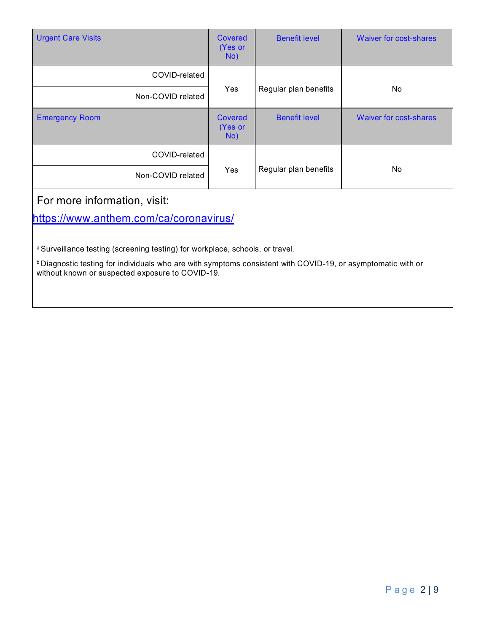| <b>Urgent Care Visits</b>                                                                                                                                               | Covered<br>(Yes or<br>No) | <b>Benefit level</b>  | Waiver for cost-shares        |  |
|-------------------------------------------------------------------------------------------------------------------------------------------------------------------------|---------------------------|-----------------------|-------------------------------|--|
| COVID-related                                                                                                                                                           |                           |                       |                               |  |
| Non-COVID related                                                                                                                                                       | Yes                       | Regular plan benefits | No                            |  |
| <b>Emergency Room</b>                                                                                                                                                   | Covered<br>(Yes or<br>No) | <b>Benefit level</b>  | <b>Waiver for cost-shares</b> |  |
| COVID-related                                                                                                                                                           |                           |                       |                               |  |
| Non-COVID related                                                                                                                                                       | Yes                       | Regular plan benefits | <b>No</b>                     |  |
| For more information, visit:                                                                                                                                            |                           |                       |                               |  |
| https://www.anthem.com/ca/coronavirus/                                                                                                                                  |                           |                       |                               |  |
| a Surveillance testing (screening testing) for workplace, schools, or travel.                                                                                           |                           |                       |                               |  |
| <b>b</b> Diagnostic testing for individuals who are with symptoms consistent with COVID-19, or asymptomatic with or<br>without known or suspected exposure to COVID-19. |                           |                       |                               |  |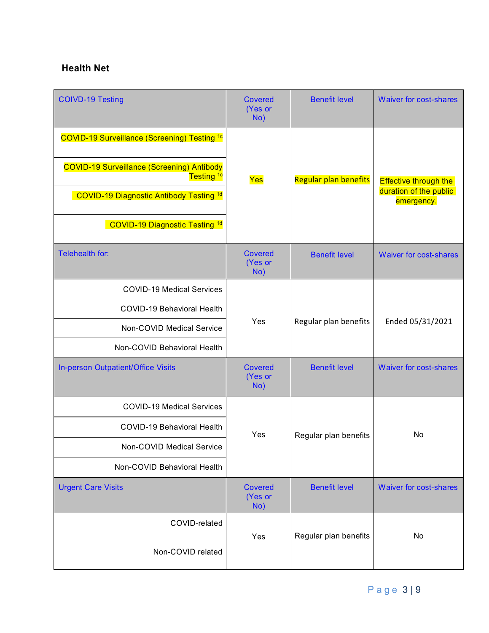#### **Health Net**

| <b>COIVD-19 Testing</b>                                                    | <b>Covered</b><br>(Yes or<br>No) | <b>Benefit level</b>         | <b>Waiver for cost-shares</b>                                        |
|----------------------------------------------------------------------------|----------------------------------|------------------------------|----------------------------------------------------------------------|
| <b>COVID-19 Surveillance (Screening) Testing 1c</b>                        |                                  |                              |                                                                      |
| <b>COVID-19 Surveillance (Screening) Antibody</b><br>Testing <sup>1c</sup> | Yes                              | <b>Regular plan benefits</b> | <b>Effective through the</b><br>duration of the public<br>emergency. |
| <b>COVID-19 Diagnostic Antibody Testing 1d</b>                             |                                  |                              |                                                                      |
| <b>COVID-19 Diagnostic Testing 1d</b>                                      |                                  |                              |                                                                      |
| Telehealth for:                                                            | <b>Covered</b><br>(Yes or<br>No) | <b>Benefit level</b>         | <b>Waiver for cost-shares</b>                                        |
| <b>COVID-19 Medical Services</b>                                           |                                  |                              |                                                                      |
| <b>COVID-19 Behavioral Health</b>                                          |                                  |                              |                                                                      |
| Non-COVID Medical Service                                                  | Yes                              | Regular plan benefits        | Ended 05/31/2021                                                     |
| Non-COVID Behavioral Health                                                |                                  |                              |                                                                      |
| In-person Outpatient/Office Visits                                         | <b>Covered</b><br>(Yes or<br>No) | <b>Benefit level</b>         | <b>Waiver for cost-shares</b>                                        |
| <b>COVID-19 Medical Services</b>                                           |                                  |                              |                                                                      |
| <b>COVID-19 Behavioral Health</b>                                          | Yes                              | Regular plan benefits        | No                                                                   |
| Non-COVID Medical Service                                                  |                                  |                              |                                                                      |
| Non-COVID Behavioral Health                                                |                                  |                              |                                                                      |
| <b>Urgent Care Visits</b>                                                  | <b>Covered</b><br>(Yes or<br>No) | <b>Benefit level</b>         | <b>Waiver for cost-shares</b>                                        |
| COVID-related                                                              | Yes                              | Regular plan benefits        | No                                                                   |
| Non-COVID related                                                          |                                  |                              |                                                                      |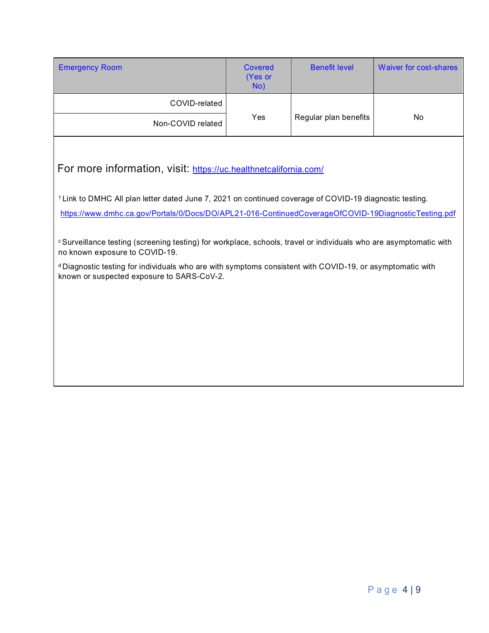| <b>Emergency Room</b>                                                                                                                                                                  | <b>Covered</b><br>(Yes or<br>No) | <b>Benefit level</b>         | <b>Waiver for cost-shares</b> |  |
|----------------------------------------------------------------------------------------------------------------------------------------------------------------------------------------|----------------------------------|------------------------------|-------------------------------|--|
| COVID-related                                                                                                                                                                          |                                  | Regular plan benefits<br>Yes | No                            |  |
| Non-COVID related                                                                                                                                                                      |                                  |                              |                               |  |
| For more information, visit: https://uc.healthnetcalifornia.com/<br><sup>1</sup> Link to DMHC All plan letter dated June 7, 2021 on continued coverage of COVID-19 diagnostic testing. |                                  |                              |                               |  |
| https://www.dmhc.ca.gov/Portals/0/Docs/DO/APL21-016-ContinuedCoverageOfCOVID-19DiagnosticTesting.pdf                                                                                   |                                  |                              |                               |  |
| <sup>c</sup> Surveillance testing (screening testing) for workplace, schools, travel or individuals who are asymptomatic with<br>no known exposure to COVID-19.                        |                                  |                              |                               |  |
| <sup>d</sup> Diagnostic testing for individuals who are with symptoms consistent with COVID-19, or asymptomatic with<br>known or suspected exposure to SARS-CoV-2.                     |                                  |                              |                               |  |
|                                                                                                                                                                                        |                                  |                              |                               |  |
|                                                                                                                                                                                        |                                  |                              |                               |  |
|                                                                                                                                                                                        |                                  |                              |                               |  |
|                                                                                                                                                                                        |                                  |                              |                               |  |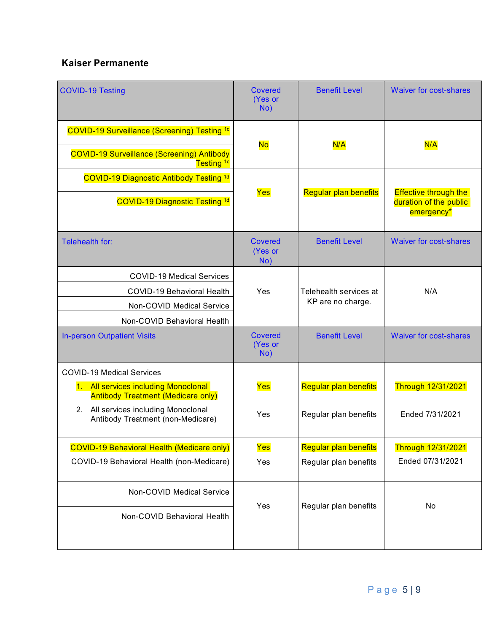### **Kaiser Permanente**

| <b>COVID-19 Testing</b>                                                                                                           | Covered<br>(Yes or<br>No)        | <b>Benefit Level</b>         | <b>Waiver for cost-shares</b>                                        |
|-----------------------------------------------------------------------------------------------------------------------------------|----------------------------------|------------------------------|----------------------------------------------------------------------|
| <b>COVID-19 Surveillance (Screening) Testing 1c</b><br><b>COVID-19 Surveillance (Screening) Antibody</b><br>Testing <sup>1c</sup> | <b>No</b>                        | N/A                          | N/A                                                                  |
| <b>COVID-19 Diagnostic Antibody Testing 1d</b>                                                                                    |                                  |                              |                                                                      |
| <b>COVID-19 Diagnostic Testing 1d</b>                                                                                             | Yes                              | <b>Regular plan benefits</b> | <b>Effective through the</b><br>duration of the public<br>emergency* |
| Telehealth for:                                                                                                                   | Covered<br>(Yes or<br>No)        | <b>Benefit Level</b>         | <b>Waiver for cost-shares</b>                                        |
| <b>COVID-19 Medical Services</b>                                                                                                  |                                  |                              |                                                                      |
| <b>COVID-19 Behavioral Health</b>                                                                                                 | Yes                              | Telehealth services at       | N/A                                                                  |
| Non-COVID Medical Service                                                                                                         |                                  | KP are no charge.            |                                                                      |
| Non-COVID Behavioral Health                                                                                                       |                                  |                              |                                                                      |
| <b>In-person Outpatient Visits</b>                                                                                                | <b>Covered</b><br>(Yes or<br>No) | <b>Benefit Level</b>         | <b>Waiver for cost-shares</b>                                        |
| <b>COVID-19 Medical Services</b>                                                                                                  |                                  |                              |                                                                      |
| 1. All services including Monoclonal<br><b>Antibody Treatment (Medicare only)</b>                                                 | Yes                              | Regular plan benefits        | Through 12/31/2021                                                   |
| All services including Monoclonal<br>2.<br>Antibody Treatment (non-Medicare)                                                      | Yes                              | Regular plan benefits        | Ended 7/31/2021                                                      |
| <b>COVID-19 Behavioral Health (Medicare only)</b>                                                                                 | Yes                              | Regular plan benefits        | Through 12/31/2021                                                   |
| COVID-19 Behavioral Health (non-Medicare)                                                                                         | Yes                              | Regular plan benefits        | Ended 07/31/2021                                                     |
| Non-COVID Medical Service                                                                                                         | Yes                              | Regular plan benefits        | No                                                                   |
| Non-COVID Behavioral Health                                                                                                       |                                  |                              |                                                                      |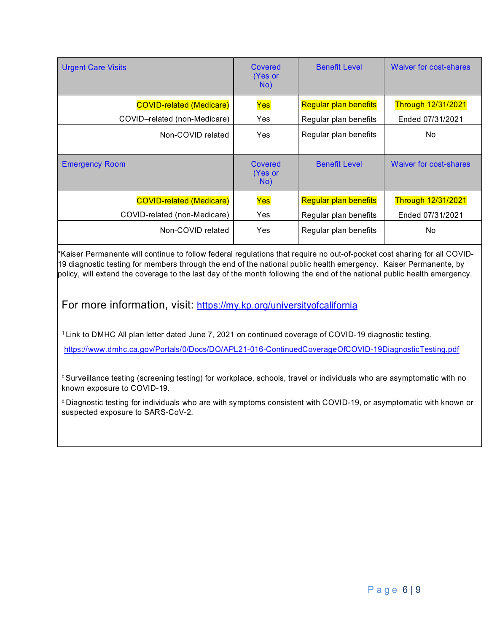| <b>Urgent Care Visits</b>       | Covered<br>(Yes or<br>No) | <b>Benefit Level</b>         | Waiver for cost-shares    |
|---------------------------------|---------------------------|------------------------------|---------------------------|
| <b>COVID-related (Medicare)</b> | Yes                       | <b>Regular plan benefits</b> | <b>Through 12/31/2021</b> |
| COVID-related (non-Medicare)    | Yes                       | Regular plan benefits        | Ended 07/31/2021          |
| Non-COVID related               | Yes                       | Regular plan benefits        | No.                       |
| <b>Emergency Room</b>           | Covered<br>(Yes or<br>No) | <b>Benefit Level</b>         | Waiver for cost-shares    |
| <b>COVID-related (Medicare)</b> | Yes                       | <b>Regular plan benefits</b> | <b>Through 12/31/2021</b> |
| COVID-related (non-Medicare)    | Yes                       | Regular plan benefits        | Ended 07/31/2021          |
| Non-COVID related               | Yes                       | Regular plan benefits        | No.                       |

\*Kaiser Permanente will continue to follow federal regulations that require no out-of-pocket cost sharing for all COVID-19 diagnostic testing for members through the end of the national public health emergency. Kaiser Permanente, by policy, will extend the coverage to the last day of the month following the end of the national public health emergency.

For more information, visit: <https://my.kp.org/universityofcalifornia>

1 Link to DMHC All plan letter dated June 7, 2021 on continued coverage of COVID-19 diagnostic testing.

<https://www.dmhc.ca.gov/Portals/0/Docs/DO/APL21-016-ContinuedCoverageOfCOVID-19DiagnosticTesting.pdf>

c Surveillance testing (screening testing) for workplace, schools, travel or individuals who are asymptomatic with no known exposure to COVID-19.

d Diagnostic testing for individuals who are with symptoms consistent with COVID-19, or asymptomatic with known or suspected exposure to SARS-CoV-2.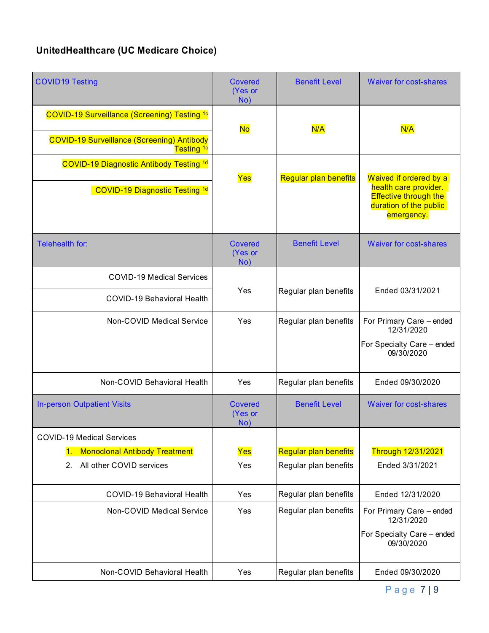## **UnitedHealthcare (UC Medicare Choice)**

| <b>COVID19 Testing</b>                                                                                       | <b>Covered</b><br>(Yes or<br>No) | <b>Benefit Level</b>         | <b>Waiver for cost-shares</b>                                                                 |
|--------------------------------------------------------------------------------------------------------------|----------------------------------|------------------------------|-----------------------------------------------------------------------------------------------|
| COVID-19 Surveillance (Screening) Testing <sup>1c</sup><br><b>COVID-19 Surveillance (Screening) Antibody</b> | <b>No</b>                        | N/A                          | N/A                                                                                           |
| Testing <sup>1c</sup>                                                                                        |                                  |                              |                                                                                               |
| <b>COVID-19 Diagnostic Antibody Testing 1d</b>                                                               | Yes                              | <b>Regular plan benefits</b> | Waived if ordered by a                                                                        |
| <b>COVID-19 Diagnostic Testing 1d</b>                                                                        |                                  |                              | health care provider.<br><b>Effective through the</b><br>duration of the public<br>emergency. |
| Telehealth for:                                                                                              | <b>Covered</b><br>(Yes or<br>No) | <b>Benefit Level</b>         | <b>Waiver for cost-shares</b>                                                                 |
| <b>COVID-19 Medical Services</b>                                                                             |                                  |                              |                                                                                               |
| <b>COVID-19 Behavioral Health</b>                                                                            | Yes                              | Regular plan benefits        | Ended 03/31/2021                                                                              |
| Non-COVID Medical Service                                                                                    | Yes                              | Regular plan benefits        | For Primary Care - ended<br>12/31/2020                                                        |
|                                                                                                              |                                  |                              | For Specialty Care - ended<br>09/30/2020                                                      |
| Non-COVID Behavioral Health                                                                                  | Yes                              | Regular plan benefits        | Ended 09/30/2020                                                                              |
| <b>In-person Outpatient Visits</b>                                                                           | <b>Covered</b><br>(Yes or<br>No) | <b>Benefit Level</b>         | <b>Waiver for cost-shares</b>                                                                 |
| <b>COVID-19 Medical Services</b>                                                                             |                                  |                              |                                                                                               |
| <b>Monoclonal Antibody Treatment</b><br>1.                                                                   | Yes                              | Regular plan benefits        | <b>Through 12/31/2021</b>                                                                     |
| All other COVID services<br>2.                                                                               | Yes                              | Regular plan benefits        | Ended 3/31/2021                                                                               |
| <b>COVID-19 Behavioral Health</b>                                                                            | Yes                              | Regular plan benefits        | Ended 12/31/2020                                                                              |
| Non-COVID Medical Service                                                                                    | Yes                              | Regular plan benefits        | For Primary Care - ended<br>12/31/2020                                                        |
|                                                                                                              |                                  |                              | For Specialty Care - ended<br>09/30/2020                                                      |
| Non-COVID Behavioral Health                                                                                  | Yes                              | Regular plan benefits        | Ended 09/30/2020                                                                              |

Page 7 | 9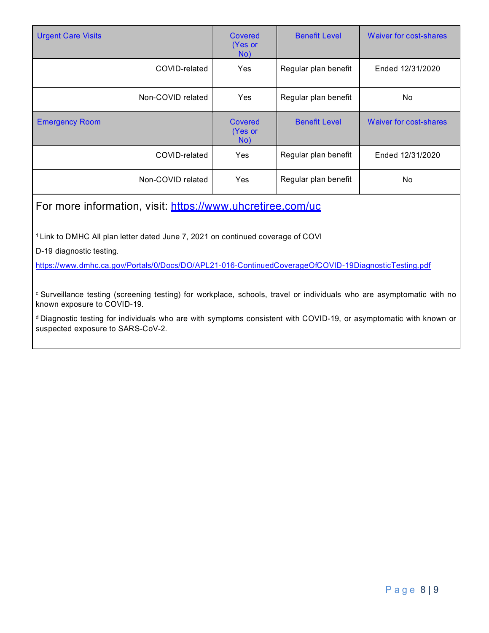| <b>Urgent Care Visits</b>                                                                  | <b>Covered</b><br>(Yes or<br>No) | <b>Benefit Level</b> | Waiver for cost-shares |
|--------------------------------------------------------------------------------------------|----------------------------------|----------------------|------------------------|
| COVID-related                                                                              | Yes                              | Regular plan benefit | Ended 12/31/2020       |
| Non-COVID related                                                                          | <b>Yes</b>                       | Regular plan benefit | No                     |
| <b>Emergency Room</b>                                                                      | Covered<br>(Yes or<br>No)        | <b>Benefit Level</b> | Waiver for cost-shares |
| COVID-related                                                                              | Yes                              | Regular plan benefit | Ended 12/31/2020       |
| Non-COVID related                                                                          | Yes                              | Regular plan benefit | No                     |
| For more information, visit: https://www.uhcretiree.com/uc                                 |                                  |                      |                        |
| <sup>1</sup> Link to DMHC All plan letter dated June 7, 2021 on continued coverage of COVI |                                  |                      |                        |

D-19 diagnostic testing.

<https://www.dmhc.ca.gov/Portals/0/Docs/DO/APL21-016-ContinuedCoverageOfCOVID-19DiagnosticTesting.pdf>

c Surveillance testing (screening testing) for workplace, schools, travel or individuals who are asymptomatic with no known exposure to COVID-19.

d Diagnostic testing for individuals who are with symptoms consistent with COVID-19, or asymptomatic with known or suspected exposure to SARS-CoV-2.